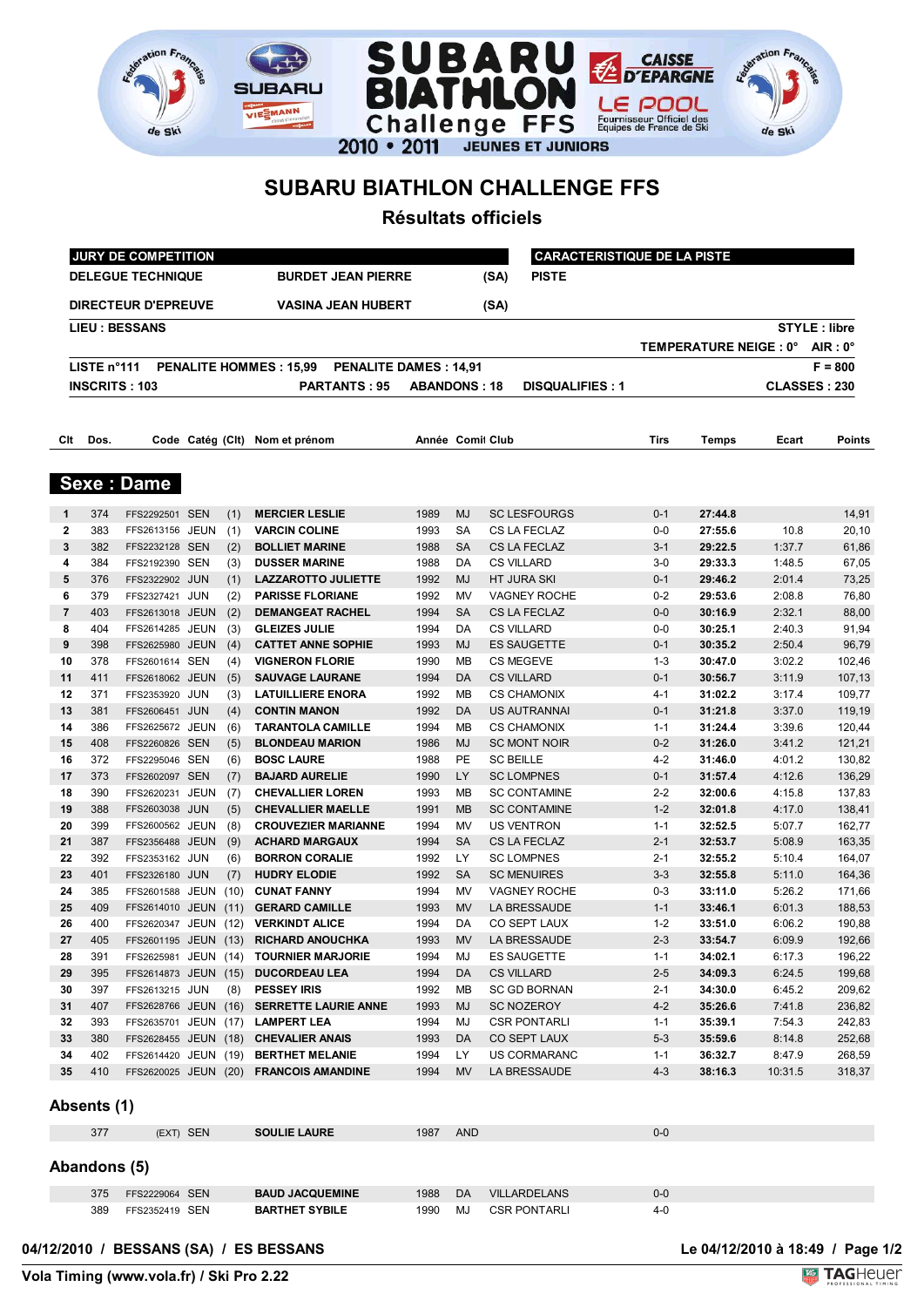



## **SUBARU BIATHLON CHALLENGE FFS**

 $SI$ 

de Ski

**JBARU** VIESMANN

<u>ent</u>

**Résultats officiels**

|                | JURY DE COMPETITION                                   |                                  |  |            |                                                                               |                     |            |                                    | <b>CARACTERISTIQUE DE LA PISTE</b> |                                 |                  |                     |  |
|----------------|-------------------------------------------------------|----------------------------------|--|------------|-------------------------------------------------------------------------------|---------------------|------------|------------------------------------|------------------------------------|---------------------------------|------------------|---------------------|--|
|                | <b>DELEGUE TECHNIQUE</b><br><b>BURDET JEAN PIERRE</b> |                                  |  |            |                                                                               |                     |            | <b>PISTE</b><br>(SA)               |                                    |                                 |                  |                     |  |
|                |                                                       | <b>DIRECTEUR D'EPREUVE</b>       |  |            | <b>VASINA JEAN HUBERT</b>                                                     |                     |            | (SA)                               |                                    |                                 |                  |                     |  |
|                |                                                       | <b>LIEU : BESSANS</b>            |  |            |                                                                               |                     |            |                                    |                                    |                                 |                  | <b>STYLE: libre</b> |  |
|                |                                                       |                                  |  |            |                                                                               |                     |            |                                    |                                    | TEMPERATURE NEIGE : 0° AIR : 0° |                  |                     |  |
|                | LISTE n°111                                           |                                  |  |            | PENALITE HOMMES: 15,99 PENALITE DAMES: 14,91                                  |                     |            |                                    |                                    |                                 |                  | $F = 800$           |  |
|                |                                                       | <b>INSCRITS: 103</b>             |  |            | <b>PARTANTS: 95</b>                                                           | <b>ABANDONS: 18</b> |            | <b>DISQUALIFIES: 1</b>             |                                    |                                 |                  | CLASSES: 230        |  |
|                |                                                       |                                  |  |            |                                                                               |                     |            |                                    |                                    |                                 |                  |                     |  |
| Clt            | Dos.                                                  |                                  |  |            | Code Catég (Clt) Nom et prénom                                                | Année Comit Club    |            |                                    | <b>Tirs</b>                        | Temps                           | Ecart            | Points              |  |
|                |                                                       | <b>Sexe: Dame</b>                |  |            |                                                                               |                     |            |                                    |                                    |                                 |                  |                     |  |
| 1              | 374                                                   | FFS2292501 SEN                   |  | (1)        | <b>MERCIER LESLIE</b>                                                         | 1989                | MJ         | <b>SC LESFOURGS</b>                | 0-1                                | 27:44.8                         |                  | 14,91               |  |
| 2              | 383                                                   | FFS2613156 JEUN                  |  | (1)        | <b>VARCIN COLINE</b>                                                          | 1993                | SA         | CS LA FECLAZ                       | $0-0$                              | 27:55.6                         | 10.8             | 20,10               |  |
| 3              | 382                                                   | FFS2232128 SEN                   |  | (2)        | <b>BOLLIET MARINE</b>                                                         | 1988                | <b>SA</b>  | CS LA FECLAZ                       | $3 - 1$                            | 29:22.5                         | 1:37.7           | 61,86               |  |
| 4              | 384                                                   | FFS2192390 SEN                   |  | (3)        | <b>DUSSER MARINE</b>                                                          | 1988                | DA         | <b>CS VILLARD</b>                  | $3-0$                              | 29:33.3                         | 1:48.5           | 67,05               |  |
| 5              | 376                                                   | FFS2322902 JUN                   |  | (1)        | <b>LAZZAROTTO JULIETTE</b>                                                    | 1992                | <b>MJ</b>  | HT JURA SKI                        | $0 - 1$                            | 29:46.2                         | 2:01.4           | 73,25               |  |
| 6              | 379                                                   | FFS2327421 JUN                   |  | (2)        | <b>PARISSE FLORIANE</b>                                                       | 1992                | MV         | <b>VAGNEY ROCHE</b>                | $0 - 2$                            | 29:53.6                         | 2:08.8           | 76,80               |  |
| $\overline{7}$ | 403                                                   | FFS2613018 JEUN                  |  | (2)        | <b>DEMANGEAT RACHEL</b>                                                       | 1994                | <b>SA</b>  | CS LA FECLAZ                       | $0-0$                              | 30:16.9                         | 2:32.1           | 88,00               |  |
| 8              | 404                                                   | FFS2614285 JEUN                  |  | (3)        | <b>GLEIZES JULIE</b>                                                          | 1994                | DA         | <b>CS VILLARD</b>                  | 0-0                                | 30:25.1                         | 2:40.3           | 91,94               |  |
| 9              | 398                                                   | FFS2625980 JEUN                  |  | (4)        | <b>CATTET ANNE SOPHIE</b>                                                     | 1993                | <b>MJ</b>  | ES SAUGETTE                        | 0-1                                | 30:35.2                         | 2:50.4           | 96,79               |  |
| 10             | 378                                                   | FFS2601614 SEN                   |  | (4)        | <b>VIGNERON FLORIE</b>                                                        | 1990                | МB         | <b>CS MEGEVE</b>                   | $1 - 3$                            | 30:47.0                         | 3:02.2           | 102,46              |  |
| 11             | 411                                                   | FFS2618062 JEUN                  |  | (5)        | <b>SAUVAGE LAURANE</b>                                                        | 1994                | DA         | <b>CS VILLARD</b>                  | $0 - 1$                            | 30:56.7                         | 3:11.9           | 107,13              |  |
| 12<br>13       | 371<br>381                                            | FFS2353920 JUN<br>FFS2606451 JUN |  | (3)<br>(4) | <b>LATUILLIERE ENORA</b><br><b>CONTIN MANON</b>                               | 1992<br>1992        | МB<br>DA   | <b>CS CHAMONIX</b><br>US AUTRANNAI | 4-1<br>$0 - 1$                     | 31:02.2<br>31:21.8              | 3:17.4<br>3:37.0 | 109,77<br>119,19    |  |
| 14             | 386                                                   | FFS2625672 JEUN                  |  | (6)        | <b>TARANTOLA CAMILLE</b>                                                      | 1994                | МB         | <b>CS CHAMONIX</b>                 | $1 - 1$                            | 31:24.4                         | 3:39.6           | 120,44              |  |
| 15             | 408                                                   | FFS2260826 SEN                   |  | (5)        | <b>BLONDEAU MARION</b>                                                        | 1986                | MJ         | <b>SC MONT NOIR</b>                | $0 - 2$                            | 31:26.0                         | 3:41.2           | 121,21              |  |
| 16             | 372                                                   | FFS2295046 SEN                   |  | (6)        | <b>BOSC LAURE</b>                                                             | 1988                | PE         | <b>SC BEILLE</b>                   | 4-2                                | 31:46.0                         | 4:01.2           | 130,82              |  |
| 17             | 373                                                   | FFS2602097 SEN                   |  | (7)        | <b>BAJARD AURELIE</b>                                                         | 1990                | LY         | <b>SC LOMPNES</b>                  | $0 - 1$                            | 31:57.4                         | 4:12.6           | 136,29              |  |
| 18             | 390                                                   | FFS2620231 JEUN                  |  | (7)        | <b>CHEVALLIER LOREN</b>                                                       | 1993                | МB         | <b>SC CONTAMINE</b>                | $2 - 2$                            | 32:00.6                         | 4:15.8           | 137,83              |  |
| 19             | 388                                                   | FFS2603038 JUN                   |  | (5)        | <b>CHEVALLIER MAELLE</b>                                                      | 1991                | <b>MB</b>  | <b>SC CONTAMINE</b>                | $1 - 2$                            | 32:01.8                         | 4:17.0           | 138,41              |  |
| 20             | 399                                                   | FFS2600562 JEUN                  |  | (8)        | <b>CROUVEZIER MARIANNE</b>                                                    | 1994                | MV         | <b>US VENTRON</b>                  | $1 - 1$                            | 32:52.5                         | 5:07.7           | 162,77              |  |
| 21             | 387                                                   | FFS2356488 JEUN                  |  | (9)        | <b>ACHARD MARGAUX</b>                                                         | 1994                | <b>SA</b>  | <b>CS LA FECLAZ</b>                | $2 - 1$                            | 32:53.7                         | 5:08.9           | 163,35              |  |
| 22             | 392                                                   | FFS2353162 JUN                   |  | (6)        | <b>BORRON CORALIE</b>                                                         | 1992                | LY         | <b>SC LOMPNES</b>                  | $2 - 1$                            | 32:55.2                         | 5:10.4           | 164,07              |  |
| 23             | 401                                                   | FFS2326180 JUN                   |  | (7)        | <b>HUDRY ELODIE</b>                                                           | 1992                | <b>SA</b>  | <b>SC MENUIRES</b>                 | $3 - 3$                            | 32:55.8                         | 5:11.0           | 164,36              |  |
| 24             | 385                                                   | FFS2601588 JEUN (10)             |  |            | <b>CUNAT FANNY</b>                                                            | 1994                | MV         | <b>VAGNEY ROCHE</b>                | $0-3$                              | 33:11.0                         | 5:26.2           | 171,66              |  |
| 25             | 409                                                   | FFS2614010 JEUN (11)             |  |            | <b>GERARD CAMILLE</b>                                                         | 1993                | <b>MV</b>  | LA BRESSAUDE                       | $1 - 1$                            | 33:46.1                         | 6:01.3           | 188,53              |  |
| 26             | 400                                                   |                                  |  |            | FFS2620347 JEUN (12) VERKINDT ALICE                                           | 1994                | DA         | CO SEPT LAUX                       | $1 - 2$                            | 33:51.0                         | 6:06.2           | 190,88              |  |
| 27             | 405                                                   |                                  |  |            | FFS2601195 JEUN (13) RICHARD ANOUCHKA                                         | 1993                |            | MV LA BRESSAUDE                    | $2 - 3$                            | 33:54.7                         | 6:09.9           | 192,66              |  |
| 28             | 391                                                   |                                  |  |            | FFS2625981 JEUN (14) TOURNIER MARJORIE                                        | 1994                | MJ         | ES SAUGETTE                        | $1 - 1$                            | 34:02.1                         | 6:17.3           | 196,22              |  |
| 29             | 395                                                   |                                  |  |            | FFS2614873 JEUN (15) DUCORDEAU LEA                                            | 1994                | DA         | <b>CS VILLARD</b>                  | $2 - 5$                            | 34:09.3                         | 6:24.5           | 199,68              |  |
| 30             | 397<br>407                                            | FFS2613215 JUN                   |  |            | (8) PESSEY IRIS                                                               | 1992                | MВ         | SC GD BORNAN                       | $2 - 1$                            | 34:30.0                         | 6:45.2           | 209,62              |  |
| 31<br>32       | 393                                                   |                                  |  |            | FFS2628766 JEUN (16) SERRETTE LAURIE ANNE<br>FFS2635701 JEUN (17) LAMPERT LEA | 1993<br>1994        | MJ<br>MJ   | SC NOZEROY<br><b>CSR PONTARLI</b>  | $4 - 2$<br>$1 - 1$                 | 35:26.6<br>35:39.1              | 7:41.8<br>7:54.3 | 236,82<br>242,83    |  |
| 33             | 380                                                   |                                  |  |            | FFS2628455 JEUN (18) CHEVALIER ANAIS                                          | 1993                | DA         | CO SEPT LAUX                       | $5 - 3$                            | 35:59.6                         | 8:14.8           | 252,68              |  |
| 34             | 402                                                   |                                  |  |            | FFS2614420 JEUN (19) BERTHET MELANIE                                          | 1994                | LY         | US CORMARANC                       | $1 - 1$                            | 36:32.7                         | 8:47.9           | 268,59              |  |
| 35             | 410                                                   |                                  |  |            | FFS2620025 JEUN (20) FRANCOIS AMANDINE                                        | 1994                | MV.        | LA BRESSAUDE                       | $4 - 3$                            | 38:16.3                         | 10:31.5          | 318,37              |  |
|                | Absents (1)                                           |                                  |  |            |                                                                               |                     |            |                                    |                                    |                                 |                  |                     |  |
|                | 377                                                   | (EXT) SEN                        |  |            | <b>SOULIE LAURE</b>                                                           | 1987                | <b>AND</b> |                                    | $0-0$                              |                                 |                  |                     |  |
|                | Abandons (5)                                          |                                  |  |            |                                                                               |                     |            |                                    |                                    |                                 |                  |                     |  |
|                | 375                                                   | FFS2229064 SEN                   |  |            | <b>BAUD JACQUEMINE</b>                                                        | 1988                | DA         | <b>VILLARDELANS</b>                | 0-0                                |                                 |                  |                     |  |
|                | 389                                                   | FFS2352419 SEN                   |  |            | <b>BARTHET SYBILE</b>                                                         | 1990                | MJ         | <b>CSR PONTARLI</b>                | $4 - 0$                            |                                 |                  |                     |  |
|                |                                                       |                                  |  |            |                                                                               |                     |            |                                    |                                    |                                 |                  |                     |  |

04/12/2010 / BESSANS (SA) / ES BESSANS